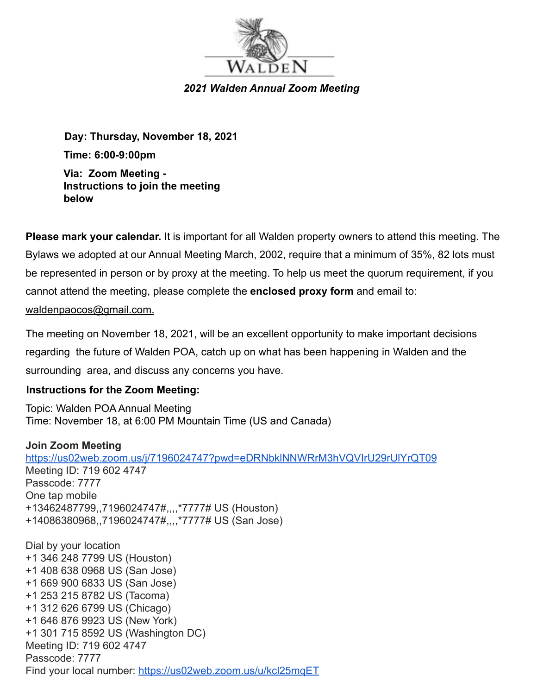

*2021 Walden Annual Zoom Meeting*

**Day: Thursday, November 18, 2021 Time: 6:00-9:00pm Via: Zoom Meeting - Instructions to join the meeting below**

**Please mark your calendar.** It is important for all Walden property owners to attend this meeting. The Bylaws we adopted at our Annual Meeting March, 2002, require that a minimum of 35%, 82 lots must be represented in person or by proxy at the meeting. To help us meet the quorum requirement, if you cannot attend the meeting, please complete the **enclosed proxy form** and email to: waldenpaocos@gmail.com.

The meeting on November 18, 2021, will be an excellent opportunity to make important decisions regarding the future of Walden POA, catch up on what has been happening in Walden and the surrounding area, and discuss any concerns you have.

## **Instructions for the Zoom Meeting:**

Topic: Walden POA Annual Meeting Time: November 18, at 6:00 PM Mountain Time (US and Canada)

#### **Join Zoom Meeting**

<https://us02web.zoom.us/j/7196024747?pwd=eDRNbklNNWRrM3hVQVIrU29rUlYrQT09> Meeting ID: 719 602 4747 Passcode: 7777 One tap mobile +13462487799,,7196024747#,,,,\*7777# US (Houston) +14086380968,,7196024747#,,,,\*7777# US (San Jose) Dial by your location +1 346 248 7799 US (Houston) +1 408 638 0968 US (San Jose) +1 669 900 6833 US (San Jose) +1 253 215 8782 US (Tacoma) +1 312 626 6799 US (Chicago) +1 646 876 9923 US (New York) +1 301 715 8592 US (Washington DC)

Meeting ID: 719 602 4747

Passcode: 7777

Find your local number: <https://us02web.zoom.us/u/kcl25mqET>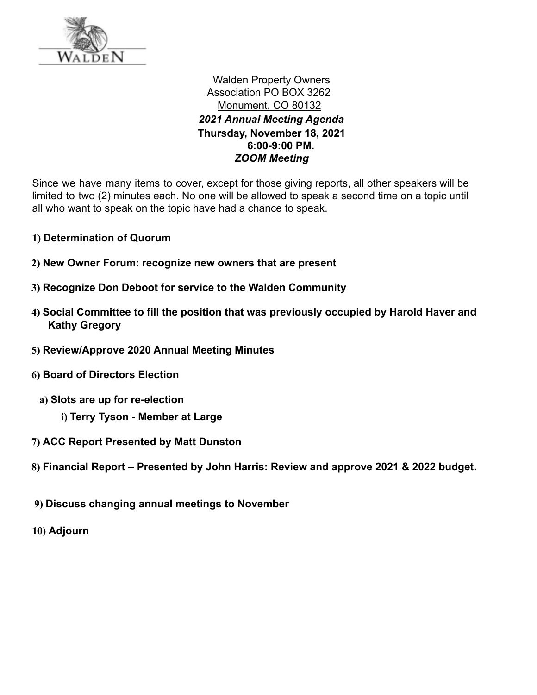

Walden Property Owners Association PO BOX 3262 Monument, CO 80132 *2021 Annual Meeting Agenda* **Thursday, November 18, 2021 6:00-9:00 PM.** *ZOOM Meeting*

Since we have many items to cover, except for those giving reports, all other speakers will be limited to two (2) minutes each. No one will be allowed to speak a second time on a topic until all who want to speak on the topic have had a chance to speak.

- **1) Determination of Quorum**
- **2) New Owner Forum: recognize new owners that are present**
- **3) Recognize Don Deboot for service to the Walden Community**
- **4) Social Committee to fill the position that was previously occupied by Harold Haver and Kathy Gregory**
- **5) Review/Approve 2020 Annual Meeting Minutes**
- **6) Board of Directors Election**
	- **a) Slots are up for re-election**
		- **i) Terry Tyson Member at Large**
- **7) ACC Report Presented by Matt Dunston**
- **8) Financial Report Presented by John Harris: Review and approve 2021 & 2022 budget.**
- **9) Discuss changing annual meetings to November**
- **10) Adjourn**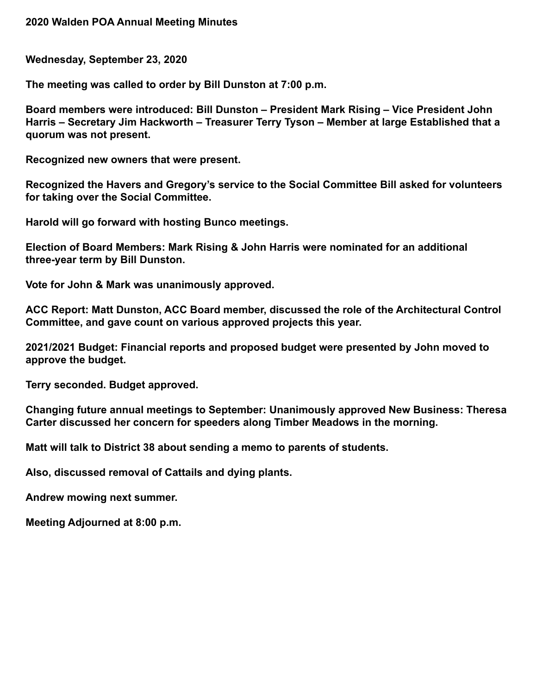**Wednesday, September 23, 2020**

**The meeting was called to order by Bill Dunston at 7:00 p.m.**

**Board members were introduced: Bill Dunston – President Mark Rising – Vice President John Harris – Secretary Jim Hackworth – Treasurer Terry Tyson – Member at large Established that a quorum was not present.**

**Recognized new owners that were present.**

**Recognized the Havers and Gregory's service to the Social Committee Bill asked for volunteers for taking over the Social Committee.**

**Harold will go forward with hosting Bunco meetings.**

**Election of Board Members: Mark Rising & John Harris were nominated for an additional three-year term by Bill Dunston.**

**Vote for John & Mark was unanimously approved.**

**ACC Report: Matt Dunston, ACC Board member, discussed the role of the Architectural Control Committee, and gave count on various approved projects this year.**

**2021/2021 Budget: Financial reports and proposed budget were presented by John moved to approve the budget.**

**Terry seconded. Budget approved.**

**Changing future annual meetings to September: Unanimously approved New Business: Theresa Carter discussed her concern for speeders along Timber Meadows in the morning.**

**Matt will talk to District 38 about sending a memo to parents of students.**

**Also, discussed removal of Cattails and dying plants.**

**Andrew mowing next summer.**

**Meeting Adjourned at 8:00 p.m.**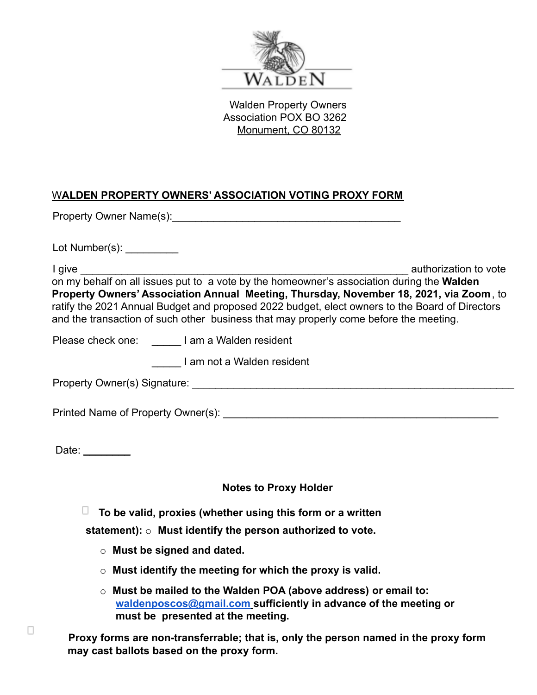

Walden Property Owners Association POX BO 3262 Monument, CO 80132

# W**ALDEN PROPERTY OWNERS' ASSOCIATION VOTING PROXY FORM**

Property Owner Name(s): <u>Department</u> of the state of the state of the state of the state of the state of the state of the state of the state of the state of the state of the state of the state of the state of the state of

Lot Number(s):

I give the set of the set of the set of the set of the set of the set of the set of the set of the set of the set of the set of the set of the set of the set of the set of the set of the set of the set of the set of the se on my behalf on all issues put to a vote by the homeowner's association during the **Walden Property Owners' Association Annual Meeting, Thursday, November 18, 2021, via Zoom**, to ratify the 2021 Annual Budget and proposed 2022 budget, elect owners to the Board of Directors and the transaction of such other business that may properly come before the meeting.

Please check one: **I** am a Walden resident

\_\_\_\_\_ I am not a Walden resident

Property Owner(s) Signature: \_\_\_\_\_\_\_\_\_\_\_\_\_\_\_\_\_\_\_\_\_\_\_\_\_\_\_\_\_\_\_\_\_\_\_\_\_\_\_\_\_\_\_\_\_\_\_\_\_\_\_\_\_\_\_

Printed Name of Property Owner(s): \_\_\_\_\_\_\_\_\_\_\_\_\_\_\_\_\_\_\_\_\_\_\_\_\_\_\_\_\_\_\_\_\_\_\_\_\_\_\_\_\_\_\_\_\_\_\_

Date:

#### **Notes to Proxy Holder**

**To be valid, proxies (whether using this form or a written**

**statement):** o **Must identify the person authorized to vote.**

- o **Must be signed and dated.**
- o **Must identify the meeting for which the proxy is valid.**
- o **Must be mailed to the Walden POA (above address) or email to: [waldenposcos@gmail.com](mailto:waldenposcos@gmail.com) sufficiently in advance of the meeting or must be presented at the meeting.**

**Proxy forms are non-transferrable; that is, only the person named in the proxy form may cast ballots based on the proxy form.**

 $\Box$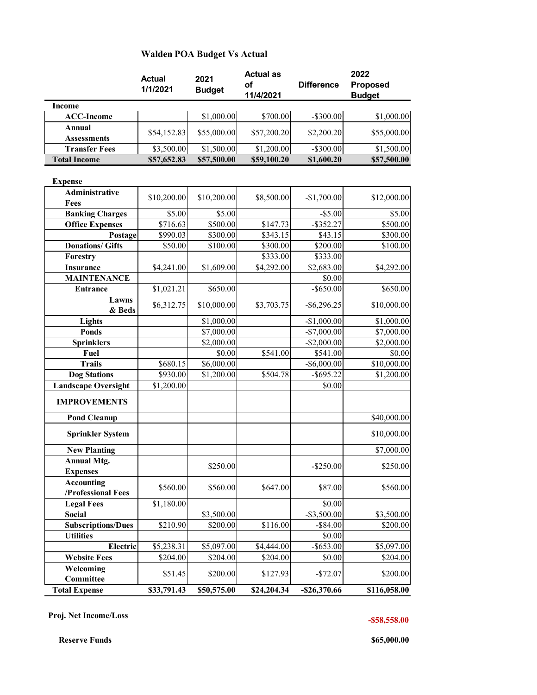#### **Walden POA Budget Vs Actual**

|                                                   | <b>Actual</b><br>1/1/2021 | 2021<br><b>Budget</b> | <b>Actual as</b><br>οf<br>11/4/2021 | <b>Difference</b> | 2022<br><b>Proposed</b><br><b>Budget</b> |
|---------------------------------------------------|---------------------------|-----------------------|-------------------------------------|-------------------|------------------------------------------|
| Income                                            |                           |                       |                                     |                   |                                          |
| <b>ACC-Income</b>                                 |                           | \$1,000.00            | \$700.00                            | $-$300.00$        | \$1,000.00                               |
| <b>Annual</b><br><b>Assessments</b>               | \$54,152.83               | \$55,000.00           | \$57,200.20                         | \$2,200.20        | \$55,000.00                              |
| <b>Transfer Fees</b>                              | \$3,500.00                | \$1,500.00            | \$1,200.00                          | $-$300.00$        | \$1,500.00                               |
| <b>Total Income</b>                               | \$57,652.83               | \$57,500.00           | \$59,100.20                         | \$1,600.20        | \$57,500.00                              |
| <b>Expense</b>                                    |                           |                       |                                     |                   |                                          |
| Administrative<br>Fees                            | \$10,200.00               | \$10,200.00           | \$8,500.00                          | $-$1,700.00$      | \$12,000.00                              |
| <b>Banking Charges</b>                            | \$5.00                    | \$5.00                |                                     | $-$ \$5.00        | \$5.00                                   |
| <b>Office Expenses</b>                            | \$716.63                  | \$500.00              | \$147.73                            | $-$ \$352.27      | \$500.00                                 |
| Postage                                           | \$990.03                  | \$300.00              | \$343.15                            | \$43.15           | \$300.00                                 |
| <b>Donations/ Gifts</b>                           | \$50.00                   | \$100.00              | \$300.00                            | \$200.00          | \$100.00                                 |
| Forestry                                          |                           |                       | \$333.00                            | \$333.00          |                                          |
| <b>Insurance</b>                                  | \$4,241.00                | \$1,609.00            | \$4,292.00                          | \$2,683.00        | \$4,292.00                               |
| <b>MAINTENANCE</b>                                |                           |                       |                                     | \$0.00            |                                          |
| <b>Entrance</b>                                   | \$1,021.21                | \$650.00              |                                     | $-$ \$650.00      | \$650.00                                 |
| Lawns<br>& Beds                                   | \$6,312.75                | \$10,000.00           | \$3,703.75                          | $-$ \$6,296.25    | \$10,000.00                              |
| Lights                                            |                           | \$1,000.00            |                                     | $-$1,000.00$      | \$1,000.00                               |
| <b>Ponds</b>                                      |                           | \$7,000.00            |                                     | $-$7,000.00$      | \$7,000.00                               |
| <b>Sprinklers</b>                                 |                           | \$2,000.00            |                                     | $-$ \$2,000.00    | \$2,000.00                               |
| Fuel                                              |                           | \$0.00                | \$541.00                            | \$541.00          | \$0.00                                   |
| <b>Trails</b>                                     | \$680.15                  | \$6,000.00            |                                     | $-$ \$6,000.00    | \$10,000.00                              |
| <b>Dog Stations</b>                               | \$930.00                  | \$1,200.00            | \$504.78                            | $-$ \$695.22      | \$1,200.00                               |
| <b>Landscape Oversight</b><br><b>IMPROVEMENTS</b> | \$1,200.00                |                       |                                     | \$0.00            |                                          |
|                                                   |                           |                       |                                     |                   |                                          |
| <b>Pond Cleanup</b><br><b>Sprinkler System</b>    |                           |                       |                                     |                   | \$40,000.00<br>\$10,000.00               |
|                                                   |                           |                       |                                     |                   |                                          |
| <b>New Planting</b><br><b>Annual Mtg.</b>         |                           |                       |                                     |                   | \$7,000.00                               |
| <b>Expenses</b>                                   |                           | \$250.00              |                                     | $-$ \$250.00      | \$250.00                                 |
| <b>Accounting</b><br>/Professional Fees           | \$560.00                  | \$560.00              | \$647.00                            | \$87.00           | \$560.00                                 |
| <b>Legal Fees</b>                                 | \$1,180.00                |                       |                                     | \$0.00            |                                          |
| Social                                            |                           | \$3,500.00            |                                     | $-$ \$3,500.00    | \$3,500.00                               |
| <b>Subscriptions/Dues</b>                         | \$210.90                  | \$200.00              | \$116.00                            | $-$ \$84.00       | \$200.00                                 |
| <b>Utilities</b>                                  |                           |                       |                                     | \$0.00            |                                          |
| <b>Electric</b>                                   | \$5,238.31                | \$5,097.00            | \$4,444.00                          | $-$ \$653.00      | \$5,097.00                               |
| <b>Website Fees</b>                               | \$204.00                  | \$204.00              | \$204.00                            | \$0.00            | \$204.00                                 |
| Welcoming<br>Committee                            | \$51.45                   | \$200.00              | \$127.93                            | $-$72.07$         | \$200.00                                 |
| <b>Total Expense</b>                              | \$33,791.43               | \$50,575.00           | \$24,204.34                         | $-$ \$26,370.66   | \$116,058.00                             |

 **Proj. Net Income/Loss -\$58,558.00**

**Reserve Funds \$65,000.00 \$65,000.00**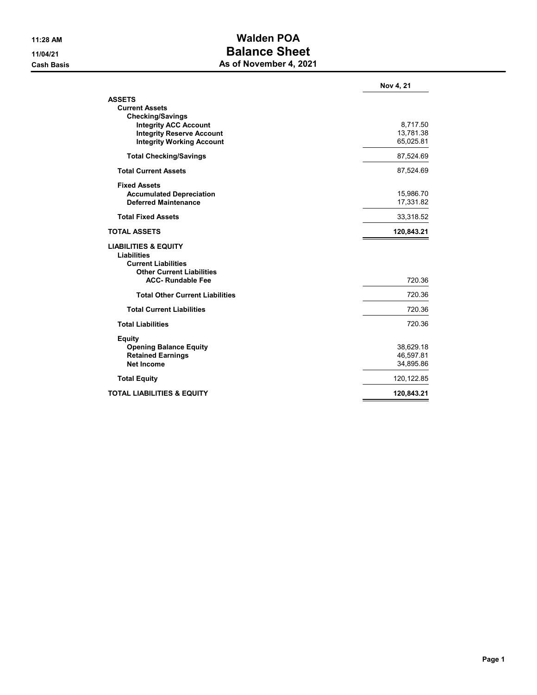## 11:28 AM Walden POA 11/04/21 Balance Sheet **Cash Basis** Cash Basis **As of November 4, 2021**

|                                        | Nov 4, 21              |
|----------------------------------------|------------------------|
| <b>ASSETS</b>                          |                        |
| <b>Current Assets</b>                  |                        |
| <b>Checking/Savings</b>                |                        |
| <b>Integrity ACC Account</b>           | 8,717.50               |
| <b>Integrity Reserve Account</b>       | 13,781.38<br>65,025.81 |
| <b>Integrity Working Account</b>       |                        |
| <b>Total Checking/Savings</b>          | 87,524.69              |
| <b>Total Current Assets</b>            | 87,524.69              |
| <b>Fixed Assets</b>                    |                        |
| <b>Accumulated Depreciation</b>        | 15,986.70              |
| <b>Deferred Maintenance</b>            | 17,331.82              |
| <b>Total Fixed Assets</b>              | 33,318.52              |
| <b>TOTAL ASSETS</b>                    | 120,843.21             |
| <b>LIABILITIES &amp; EQUITY</b>        |                        |
| <b>Liabilities</b>                     |                        |
| <b>Current Liabilities</b>             |                        |
| <b>Other Current Liabilities</b>       |                        |
| <b>ACC-Rundable Fee</b>                | 720.36                 |
| <b>Total Other Current Liabilities</b> | 720.36                 |
| <b>Total Current Liabilities</b>       | 720.36                 |
| <b>Total Liabilities</b>               | 720.36                 |
| <b>Equity</b>                          |                        |
| <b>Opening Balance Equity</b>          | 38,629.18              |
| <b>Retained Earnings</b>               | 46,597.81              |
| <b>Net Income</b>                      | 34,895.86              |
| <b>Total Equity</b>                    | 120, 122.85            |
| <b>TOTAL LIABILITIES &amp; EQUITY</b>  | 120,843.21             |